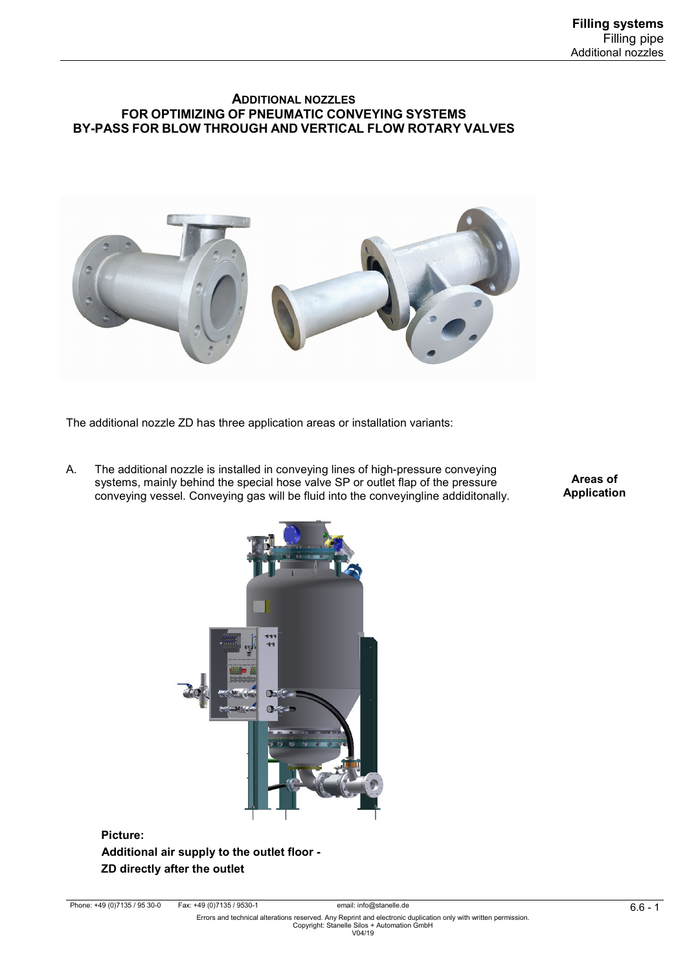### **ADDITIONAL NOZZLES FOR OPTIMIZING OF PNEUMATIC CONVEYING SYSTEMS BY-PASS FOR BLOW THROUGH AND VERTICAL FLOW ROTARY VALVES**



The additional nozzle ZD has three application areas or installation variants:

A. The additional nozzle is installed in conveying lines of high-pressure conveying systems, mainly behind the special hose valve SP or outlet flap of the pressure conveying vessel. Conveying gas will be fluid into the conveyingline addiditonally.

**Areas of Application** 



 **Picture: Additional air supply to the outlet floor - ZD directly after the outlet**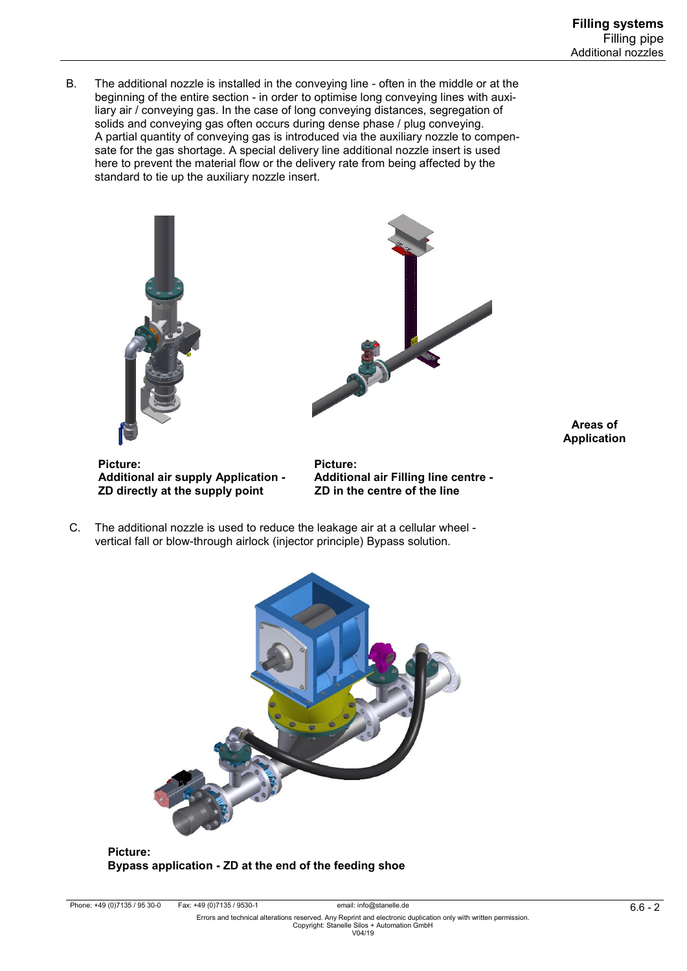B. The additional nozzle is installed in the conveying line - often in the middle or at the beginning of the entire section - in order to optimise long conveying lines with auxi liary air / conveying gas. In the case of long conveying distances, segregation of solids and conveying gas often occurs during dense phase / plug conveying. A partial quantity of conveying gas is introduced via the auxiliary nozzle to compen sate for the gas shortage. A special delivery line additional nozzle insert is used here to prevent the material flow or the delivery rate from being affected by the standard to tie up the auxiliary nozzle insert.





**Areas of Application** 

 **Picture: Picture:**  Additional air supply Application - Additional air Filling line contained and **Additional air Filling Index**<br>The centre of the line **ZD directly at the supply point** 

 C. The additional nozzle is used to reduce the leakage air at a cellular wheel vertical fall or blow-through airlock (injector principle) Bypass solution.



 **Picture: Bypass application - ZD at the end of the feeding shoe**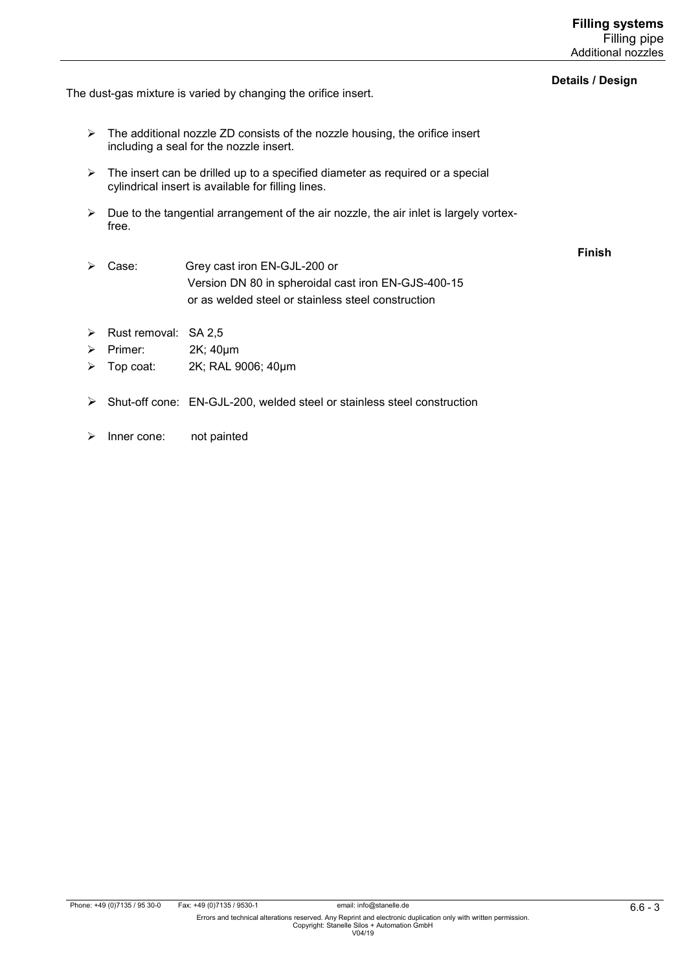#### **Details / Design**

**Finish** 

The dust-gas mixture is varied by changing the orifice insert.

- $\triangleright$  The additional nozzle ZD consists of the nozzle housing, the orifice insert including a seal for the nozzle insert.
- $\triangleright$  The insert can be drilled up to a specified diameter as required or a special cylindrical insert is available for filling lines.
- $\triangleright$  Due to the tangential arrangement of the air nozzle, the air inlet is largely vortexfree.
- Case: Grey cast iron EN-GJL-200 or Version DN 80 in spheroidal cast iron EN-GJS-400-15 or as welded steel or stainless steel construction
- $\triangleright$  Rust removal: SA 2,5
- Primer: 2K; 40µm
- Top coat: 2K; RAL 9006; 40µm
- Shut-off cone: EN-GJL-200, welded steel or stainless steel construction
- > Inner cone: not painted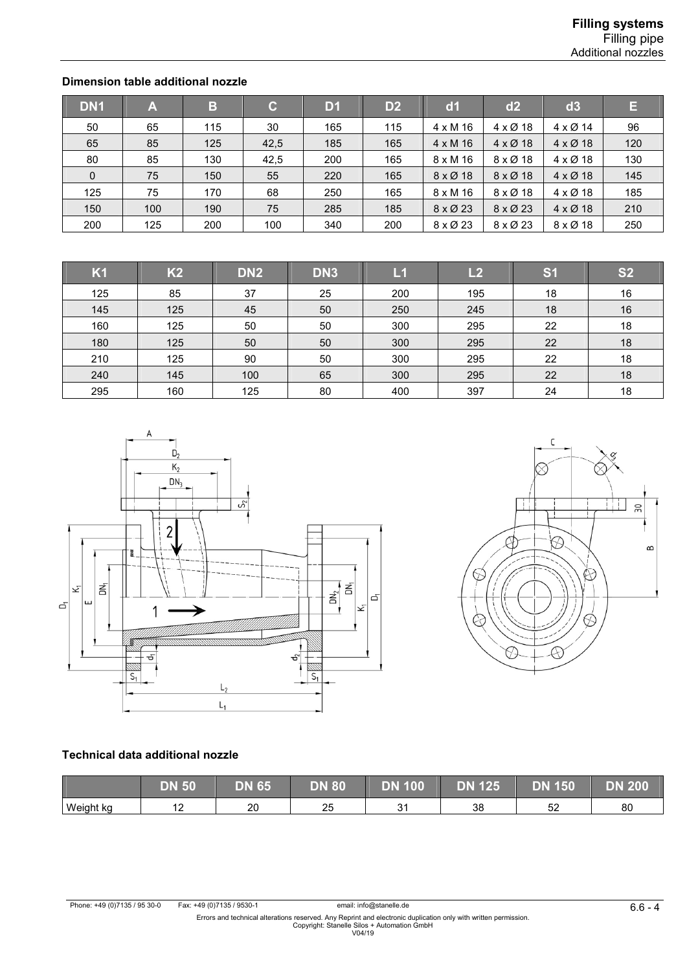## **Dimension table additional nozzle**

| DN <sub>1</sub> | A   | B   | $\mathbf{C}$ | D1  | D <sub>2</sub> | dd1                     | d2                        | d3                      | E   |
|-----------------|-----|-----|--------------|-----|----------------|-------------------------|---------------------------|-------------------------|-----|
| 50              | 65  | 115 | 30           | 165 | 115            | $4 \times M$ 16         | $4 \times \varnothing 18$ | $4 \times 12$ 14        | 96  |
| 65              | 85  | 125 | 42,5         | 185 | 165            | $4 \times M$ 16         | $4 \times \emptyset$ 18   | $4 \times 218$          | 120 |
| 80              | 85  | 130 | 42,5         | 200 | 165            | $8 \times M$ 16         | $8 \times \varnothing$ 18 | $4 \times 218$          | 130 |
| $\mathbf 0$     | 75  | 150 | 55           | 220 | 165            | $8 \times \emptyset$ 18 | $8 \times \emptyset$ 18   | $4 \times \emptyset$ 18 | 145 |
| 125             | 75  | 170 | 68           | 250 | 165            | $8 \times M$ 16         | $8 \times \varnothing$ 18 | $4 \times 218$          | 185 |
| 150             | 100 | 190 | 75           | 285 | 185            | $8 \times \emptyset$ 23 | $8 \times \emptyset$ 23   | $4 \times 218$          | 210 |
| 200             | 125 | 200 | 100          | 340 | 200            | 8 x Ø 23                | 8 x Ø 23                  | 8 x Ø 18                | 250 |

| K1  | K <sub>2</sub> | DN <sub>2</sub> | DN <sub>3</sub> | L1  | L2  | S <sub>1</sub> | <b>S2</b> |
|-----|----------------|-----------------|-----------------|-----|-----|----------------|-----------|
| 125 | 85             | 37              | 25              | 200 | 195 | 18             | 16        |
| 145 | 125            | 45              | 50              | 250 | 245 | 18             | 16        |
| 160 | 125            | 50              | 50              | 300 | 295 | 22             | 18        |
| 180 | 125            | 50              | 50              | 300 | 295 | 22             | 18        |
| 210 | 125            | 90              | 50              | 300 | 295 | 22             | 18        |
| 240 | 145            | 100             | 65              | 300 | 295 | 22             | 18        |
| 295 | 160            | 125             | 80              | 400 | 397 | 24             | 18        |





## **Technical data additional nozzle**

|           | N <sub>50</sub>              | DN 65 <sup>\</sup> | <b>DN 80</b> | <b>DN 100</b> | <b>DN 125</b> | <b>DN 150</b> | <b>DN 200</b> |
|-----------|------------------------------|--------------------|--------------|---------------|---------------|---------------|---------------|
| Weight kg | $\overline{a}$<br>. <u>.</u> | ንበ<br>∠∪           | o r<br>∠     | ົ<br>ັ        | 38            | r r<br>ັ      | 80            |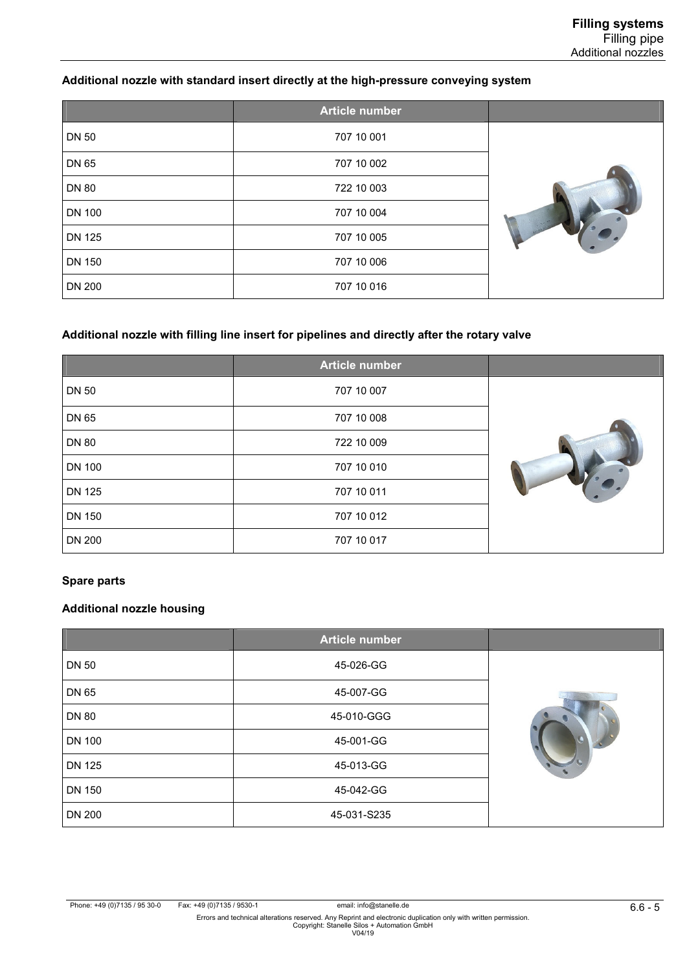## **Additional nozzle with standard insert directly at the high-pressure conveying system**

|               | Article number |  |
|---------------|----------------|--|
| <b>DN 50</b>  | 707 10 001     |  |
| DN 65         | 707 10 002     |  |
| <b>DN 80</b>  | 722 10 003     |  |
| <b>DN 100</b> | 707 10 004     |  |
| <b>DN 125</b> | 707 10 005     |  |
| <b>DN 150</b> | 707 10 006     |  |
| <b>DN 200</b> | 707 10 016     |  |

## **Additional nozzle with filling line insert for pipelines and directly after the rotary valve**

|               | Article number |  |
|---------------|----------------|--|
| <b>DN 50</b>  | 707 10 007     |  |
| DN 65         | 707 10 008     |  |
| <b>DN 80</b>  | 722 10 009     |  |
| <b>DN 100</b> | 707 10 010     |  |
| <b>DN 125</b> | 707 10 011     |  |
| <b>DN 150</b> | 707 10 012     |  |
| <b>DN 200</b> | 707 10 017     |  |

#### **Spare parts**

### **Additional nozzle housing**

|               | <b>Article number</b> |  |
|---------------|-----------------------|--|
| <b>DN 50</b>  | 45-026-GG             |  |
| DN 65         | 45-007-GG             |  |
| <b>DN 80</b>  | 45-010-GGG            |  |
| <b>DN 100</b> | 45-001-GG             |  |
| <b>DN 125</b> | 45-013-GG             |  |
| <b>DN 150</b> | 45-042-GG             |  |
| <b>DN 200</b> | 45-031-S235           |  |